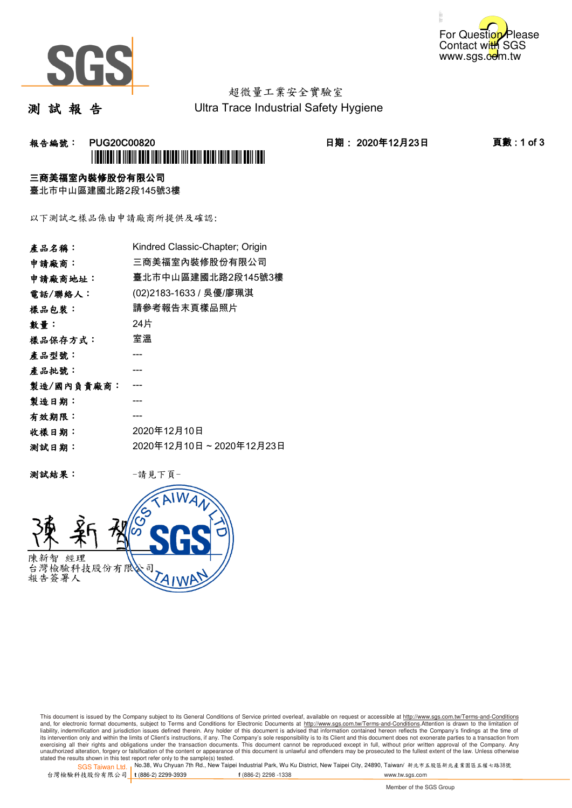



測 試 報 告

Ultra Trace Industrial Safety Hygiene

### **報告編號: PUG20C00820 日期: 2020年12月23日 頁數:1 of 3** \*PUG20C00820\*

#### 三商美福室內裝修股份有限公司

臺北市中山區建國北路2段145號3樓

以下測試之樣品係由申請廠商所提供及確認:

| 產品名稱:      | Kindred Classic-Chapter; Origin |
|------------|---------------------------------|
| 申請廠商:      | 三商美福室內裝修股份有限公司                  |
| 申請廠商地址:    | 臺北市中山區建國北路2段145號3樓              |
| 電話/聯絡人:    | (02)2183-1633 / 吳優/廖珮淇          |
| 樣品包裝:      | 請參考報告末頁樣品照片                     |
| 數量:        | 24片                             |
| 樣品保存方式:    | 室溫                              |
| 產品型號:      |                                 |
| 產品批號:      |                                 |
| 製造/國內負責廠商: |                                 |
| 製造日期:      |                                 |
| 有效期限:      |                                 |
| 收樣日期:      | 2020年12月10日                     |
| 测試日期:      | 2020年12月10日~2020年12月23日         |

测試結果: 一請見下頁



This document is issued by the Company subject to its General Conditions of Service printed overleaf, available on request or accessible at http://www.sgs.com.tw/Terms-and-Conditions and, for electronic format documents, subject to Terms and Conditions for Electronic Documents at <u>http://www.sgs.com.tw/Terms-and-Conditions</u>.Attention is drawn to the limitation of<br>liability, indemnification and jurisdic exercising all their rights and obligations under the transaction documents. This document cannot be reproduced except in full, without prior written approval of the Company. Any<br>unauthorized alteration, forgery or falsifi

stated the results shown in this test report refer only to the sample(s) tested.<br>Stated the results shown in this test report refer only to the sample(s) tested.

SGS Taiwan Ltd. 台灣檢驗科技股份有限公司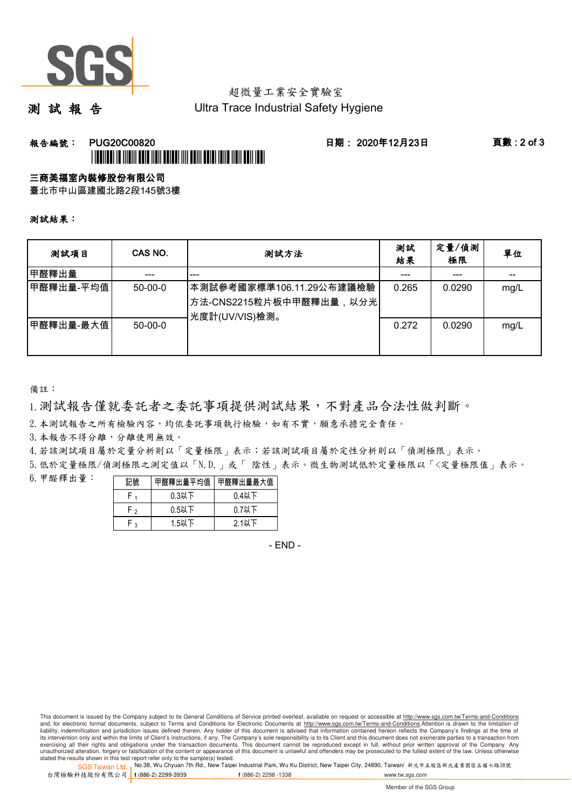

測 試 報 告

Ultra Trace Industrial Safety Hygiene

### **報告編號: PUG20C00820 日期: 2020年12月23日 頁數:2 of 3** \*PUG20C00820\*

#### 三商美福室內裝修股份有限公司

臺北市中山區建國北路2段145號3樓

測試結果:

| 测試項目                   | CAS NO.       | 測試方法                                                                  | 測試<br>結果 | 定量/偵測<br>極限 | 單位   |
|------------------------|---------------|-----------------------------------------------------------------------|----------|-------------|------|
| 甲醛釋出量                  |               | ---                                                                   |          | ---         |      |
| 甲醛釋出量-平均值              | $50-00-0$     | 本測試參考國家標準106.11.29公布建議檢驗<br>方法-CNS2215粒片板中甲醛釋出量,以分光<br>光度計(UV/VIS)檢測。 | 0.265    | 0.0290      | mg/L |
| 甲醛釋出量-最大值 <sup> </sup> | $50 - 00 - 0$ |                                                                       | 0.272    | 0.0290      | mg/L |

備註:

1.測試報告僅就委託者之委託事項提供測試結果,不對產品合法性做判斷。

2.本測試報告之所有檢驗內容,均依委託事項執行檢驗,如有不實,願意承擔完全責任。

3. 本報告不得分離,分離使用無效。

4.若該測試項目屬於定量分析則以「定量極限」表示;若該測試項目屬於定性分析則以「偵測極限」表示。

5.低於定量極限/偵測極限之測定值以「N.D.」或「 陰性」表示。微生物測試低於定量極限以「<定量極限值」表示。

6.甲醛釋出量:

| 記號     | 甲醛釋出量平均值 | 甲醛釋出量最大值 |
|--------|----------|----------|
|        | $0.3$ 以下 | $0.4$ 以下 |
| ⊸ ⊨    | $0.5$ 以下 | $0.7$ 以下 |
| $\sim$ | 1.5以下    | 2.1以下    |

- END -

This document is issued by the Company subject to its General Conditions of Service printed overleaf, available on request or accessible at http://www.sgs.com.tw/Terms-and-Conditions and, for electronic format documents, subject to Terms and Conditions for Electronic Documents at http://www.sgs.com.tw/Terms-and-Conditions.Attention is drawn to the limitation of liability, indemnification and jurisdiction issues defined therein. Any holder of this document is advised that information contained hereon reflects the Company's findings at the time of<br>its intervention only and within t exercising all their rights and obligations under the transaction documents. This document cannot be reproduced except in full, without prior written approval of the Company. Any<br>unauthorized alteration, forgery or falsifi

stated the results shown in this test report refer only to the sample(s) tested.<br>Stated the results shown in this test report refer only to the sample(s) tested.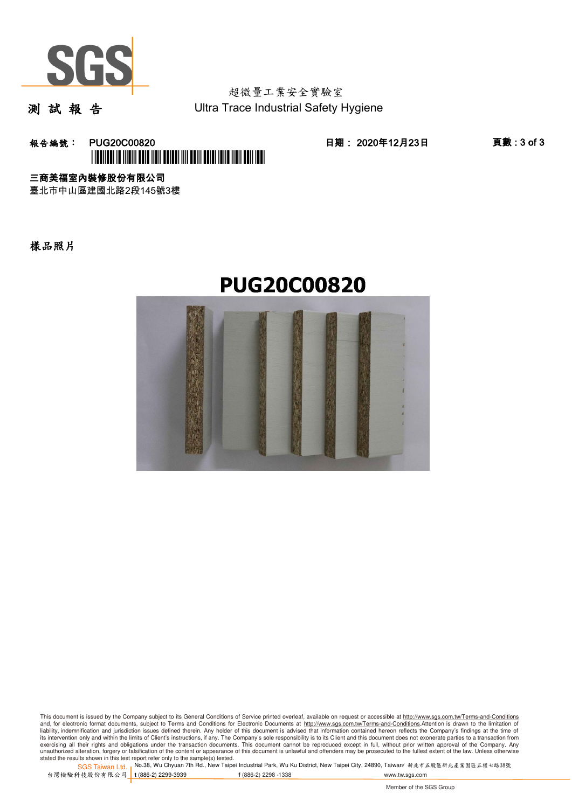

測 試 報 告

超微量工業安全實驗室 Ultra Trace Industrial Safety Hygiene

**報告編號: PUG20C00820 20 20 20 20 20 日期: 2020年12月23日 20 30 頁數:3 of 3** \*PUG20C00820\*

三商美福室內裝修股份有限公司

臺北市中山區建國北路2段145號3樓

樣品照片

## **PUG20C00820**



This document is issued by the Company subject to its General Conditions of Service printed overleaf, available on request or accessible at http://www.sgs.com.tw/Terms-and-Conditions and, for electronic format documents, subject to Terms and Conditions for Electronic Documents at <u>http://www.sgs.com.tw/Terms-and-Conditions</u>.Attention is drawn to the limitation of<br>liability, indemnification and jurisdic exercising all their rights and obligations under the transaction documents. This document cannot be reproduced except in full, without prior written approval of the Company. Any<br>unauthorized alteration, forgery or falsifi

stated the results shown in this test report refer only to the sample(s) tested.<br>Stated the results shown in this test report refer only to the sample(s) tested.

SGS Taiwan Ltd. 台灣檢驗科技股份有限公司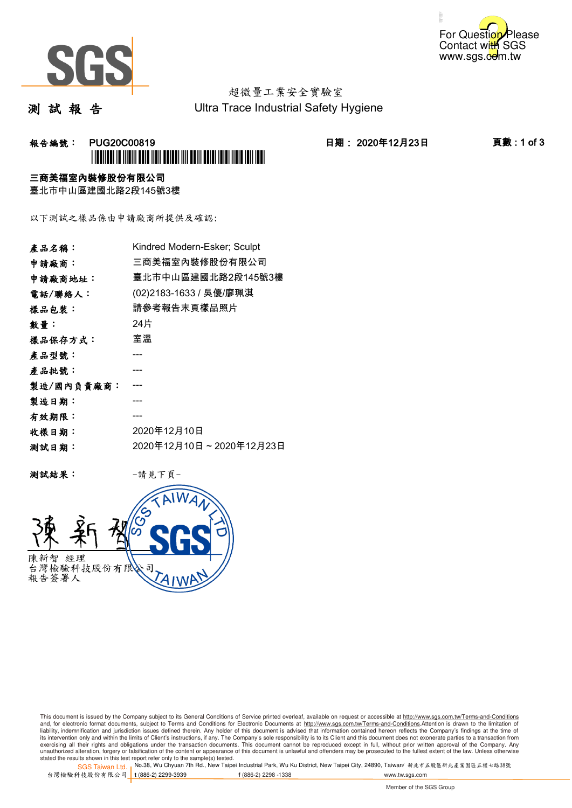



測 試 報 告

Ultra Trace Industrial Safety Hygiene

### **報告編號: PUG20C00819 日期: 2020年12月23日 頁數:1 of 3** \*PUG20C00819\*

#### 三商美福室內裝修股份有限公司

臺北市中山區建國北路2段145號3樓

以下測試之樣品係由申請廠商所提供及確認:

| 產品名稱:      | Kindred Modern-Esker; Sculpt |
|------------|------------------------------|
| 申請廠商:      | 三商美福室內裝修股份有限公司               |
| 申請廠商地址:    | 臺北市中山區建國北路2段145號3樓           |
| 電話/聯絡人:    | (02)2183-1633 / 吳優/廖珮淇       |
| 樣品包裝:      | 請參考報告末頁樣品照片                  |
| 數量:        | 24片                          |
| 樣品保存方式:    | 室溫                           |
| 產品型號:      |                              |
| 產品批號:      |                              |
| 製造/國內負責廠商: |                              |
| 製造日期:      |                              |
| 有效期限:      |                              |
| 收樣日期:      | 2020年12月10日                  |
| 测試日期:      | 2020年12月10日~2020年12月23日      |

测試結果: 一請見下頁



This document is issued by the Company subject to its General Conditions of Service printed overleaf, available on request or accessible at http://www.sgs.com.tw/Terms-and-Conditions and, for electronic format documents, subject to Terms and Conditions for Electronic Documents at <u>http://www.sgs.com.tw/Terms-and-Conditions</u>.Attention is drawn to the limitation of<br>liability, indemnification and jurisdic exercising all their rights and obligations under the transaction documents. This document cannot be reproduced except in full, without prior written approval of the Company. Any<br>unauthorized alteration, forgery or falsifi

stated the results shown in this test report refer only to the sample(s) tested.<br>Stated the results shown in this test report refer only to the sample(s) tested.

SGS Taiwan Ltd. 台灣檢驗科技股份有限公司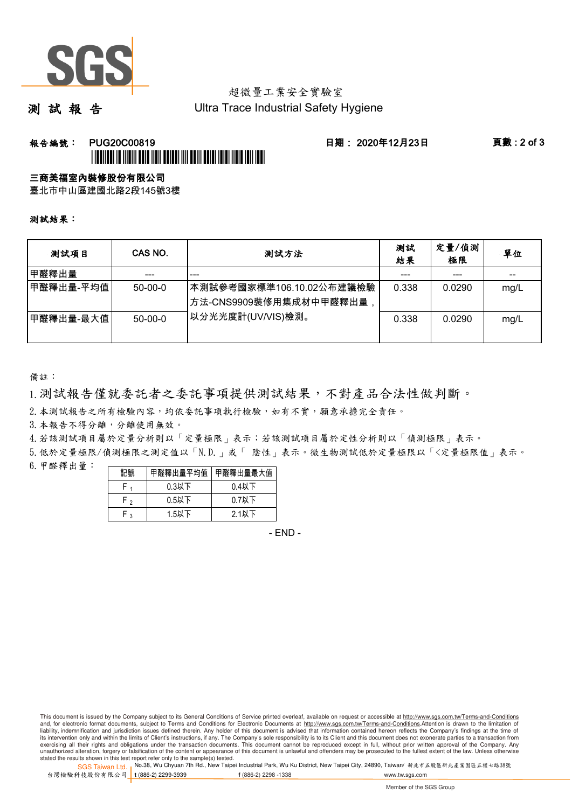

測 試 報 告

Ultra Trace Industrial Safety Hygiene

### **報告編號: PUG20C00819 日期: 2020年12月23日 頁數:2 of 3** \*PUBLICATION IN INTERFERIENCE AND A SERVICE AND TRUST AND TRUE TO A

#### 三商美福室內裝修股份有限公司

臺北市中山區建國北路2段145號3樓

測試結果:

| 測試項目       | CAS NO.       | 測試方法                                               | 測試<br>結果 | 定量/偵測<br>極限 | 單位   |
|------------|---------------|----------------------------------------------------|----------|-------------|------|
| 甲醛釋出量      |               | ---                                                | ---      | ---         | --   |
| ┃甲醛釋出量-平均值 | $50-00-0$     | 本測試參考國家標準106.10.02公布建議檢驗<br>方法-CNS9909裝修用集成材中甲醛釋出量 | 0.338    | 0.0290      | mg/L |
| 甲醛釋出量-最大值  | $50 - 00 - 0$ | 以分光光度計(UV/VIS)檢測。                                  | 0.338    | 0.0290      | mg/L |

備註:

1.測試報告僅就委託者之委託事項提供測試結果,不對產品合法性做判斷。

2. 本測試報告之所有檢驗內容,均依委託事項執行檢驗,如有不實,願意承擔完全責任。

3. 本報告不得分離,分離使用無效。

4.若該測試項目屬於定量分析則以「定量極限」表示;若該測試項目屬於定性分析則以「偵測極限」表示。

5.低於定量極限/偵測極限之測定值以「N.D.」或「 陰性」表示。微生物測試低於定量極限以「<定量極限值」表示。 6.甲醛釋出量:

|          | 醛釋出量平均值  | 甲醛釋出量最大值 |
|----------|----------|----------|
|          | $0.3$ 以下 | 0.4以下    |
| ່າ       | $0.5$ 以下 | $0.7$ 以下 |
| $\Omega$ | $1.5$ 以下 | 2.1以下    |

- END -

This document is issued by the Company subject to its General Conditions of Service printed overleaf, available on request or accessible at http://www.sgs.com.tw/Terms-and-Conditions and, for electronic format documents, subject to Terms and Conditions for Electronic Documents at http://www.sgs.com.tw/Terms-and-Conditions.Attention is drawn to the limitation of liability, indemnification and jurisdiction issues defined therein. Any holder of this document is advised that information contained hereon reflects the Company's findings at the time of<br>its intervention only and within t exercising all their rights and obligations under the transaction documents. This document cannot be reproduced except in full, without prior written approval of the Company. Any<br>unauthorized alteration, forgery or falsifi

stated the results shown in this test report refer only to the sample(s) tested.<br>Stated the results shown in this test report refer only to the sample(s) tested.

SGS Taiwan Ltd. 台灣檢驗科技股份有限公司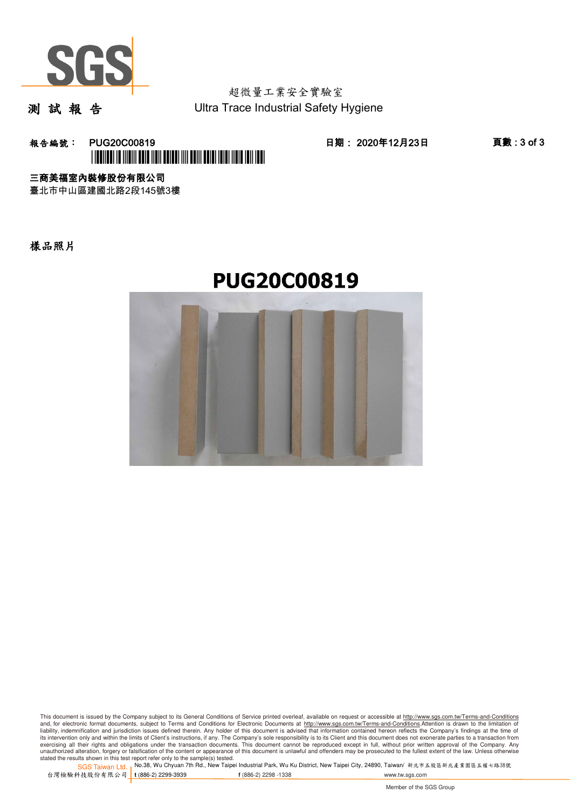

測 試 報 告

超微量工業安全實驗室 Ultra Trace Industrial Safety Hygiene

**報告編號: PUG20C00819 日期: 2020年12月23日 頁數:3 of 3** \*PUG20C00819\*

三商美福室內裝修股份有限公司

臺北市中山區建國北路2段145號3樓

樣品照片





This document is issued by the Company subject to its General Conditions of Service printed overleaf, available on request or accessible at http://www.sgs.com.tw/Terms-and-Conditions and, for electronic format documents, subject to Terms and Conditions for Electronic Documents at <u>http://www.sgs.com.tw/Terms-and-Conditions</u>.Attention is drawn to the limitation of<br>liability, indemnification and jurisdic exercising all their rights and obligations under the transaction documents. This document cannot be reproduced except in full, without prior written approval of the Company. Any<br>unauthorized alteration, forgery or falsifi

stated the results shown in this test report refer only to the sample(s) tested.<br>Stated the results shown in this test report refer only to the sample(s) tested.

SGS Taiwan Ltd. 台灣檢驗科技股份有限公司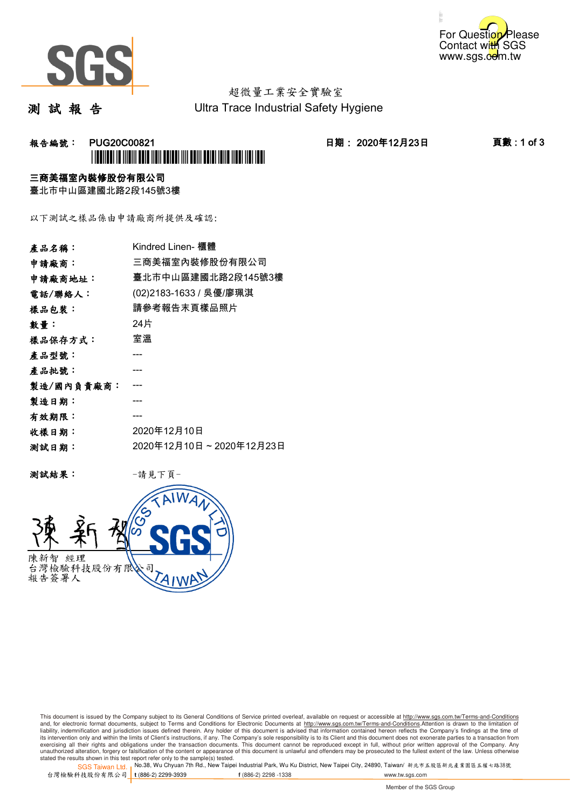



測 試 報 告

Ultra Trace Industrial Safety Hygiene

### **報告編號: PUG20C00821 日期: 2020年12月23日 頁數:1 of 3** \*PUG20C00821\*

#### 三商美福室內裝修股份有限公司

臺北市中山區建國北路2段145號3樓

以下測試之樣品係由申請廠商所提供及確認:

| 產品名稱:      | Kindred Linen- 櫃體       |
|------------|-------------------------|
| 申請廠商:      | 三商美福室內裝修股份有限公司          |
| 申請廠商地址:    | 臺北市中山區建國北路2段145號3樓      |
| 電話/聯絡人:    | (02)2183-1633 / 吳優/廖珮淇  |
| 樣品包裝:      | 請參考報告末頁樣品照片             |
| 數量:        | 24片                     |
| 樣品保存方式:    | 室溫                      |
| 產品型號:      |                         |
| 產品批號:      |                         |
| 製造/國內負責廠商: |                         |
| 製造日期:      |                         |
| 有效期限:      |                         |
| 收樣日期:      | 2020年12月10日             |
| 测試日期:      | 2020年12月10日~2020年12月23日 |

测試結果: 一請見下頁



This document is issued by the Company subject to its General Conditions of Service printed overleaf, available on request or accessible at http://www.sgs.com.tw/Terms-and-Conditions and, for electronic format documents, subject to Terms and Conditions for Electronic Documents at <u>http://www.sgs.com.tw/Terms-and-Conditions</u>.Attention is drawn to the limitation of<br>liability, indemnification and jurisdic exercising all their rights and obligations under the transaction documents. This document cannot be reproduced except in full, without prior written approval of the Company. Any<br>unauthorized alteration, forgery or falsifi

stated the results shown in this test report refer only to the sample(s) tested.<br>Stated the results shown in this test report refer only to the sample(s) tested.

SGS Taiwan Ltd. 台灣檢驗科技股份有限公司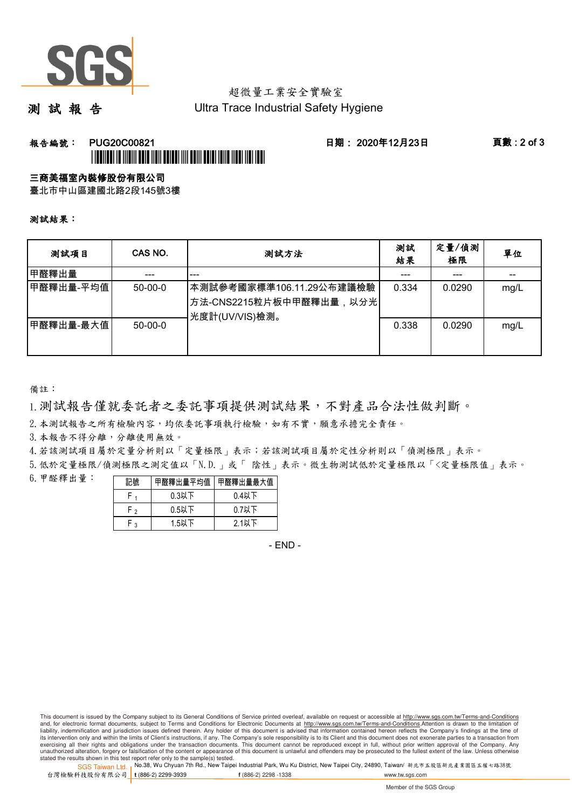

測 試 報 告

Ultra Trace Industrial Safety Hygiene

### **報告編號: PUG20C00821 日期: 2020年12月23日 頁數:2 of 3** \*PUG20C00821\*

#### 三商美福室內裝修股份有限公司

臺北市中山區建國北路2段145號3樓

測試結果:

| 测試項目       | CAS NO.   | 測試方法                                                                   | 測試<br>結果 | 定量/偵測<br>極限 | 單位   |
|------------|-----------|------------------------------------------------------------------------|----------|-------------|------|
| 甲醛釋出量      |           | ---                                                                    |          | ---         | --   |
| ┃甲醛釋出量-平均值 | $50-00-0$ | ┃本測試參考國家標準106.11.29公布建議檢驗<br>方法-CNS2215粒片板中甲醛釋出量,以分光<br>光度計(UV/VIS)檢測。 | 0.334    | 0.0290      | mg/L |
| 甲醛釋出量-最大值  | $50-00-0$ |                                                                        | 0.338    | 0.0290      | mg/L |

備註:

1.測試報告僅就委託者之委託事項提供測試結果,不對產品合法性做判斷。

2.本測試報告之所有檢驗內容,均依委託事項執行檢驗,如有不實,願意承擔完全責任。

3. 本報告不得分離,分離使用無效。

 $\mathbf{r}$ 

4.若該測試項目屬於定量分析則以「定量極限」表示;若該測試項目屬於定性分析則以「偵測極限」表示。

5.低於定量極限/偵測極限之測定值以「N.D.」或「 陰性」表示。微生物測試低於定量極限以「<定量極限值」表示。

6.甲醛釋出量:

|                | 甲醛釋出量平均值 | 甲醛釋出量最大值 |
|----------------|----------|----------|
|                | $0.3$ 以下 | $0.4$ 以下 |
| $\mathbf{r}$   | $0.5$ 以下 | $0.7$ 以下 |
| $\overline{a}$ | 1.5以下    | 2.1以下    |

- END -

This document is issued by the Company subject to its General Conditions of Service printed overleaf, available on request or accessible at http://www.sgs.com.tw/Terms-and-Conditions and, for electronic format documents, subject to Terms and Conditions for Electronic Documents at http://www.sgs.com.tw/Terms-and-Conditions.Attention is drawn to the limitation of liability, indemnification and jurisdiction issues defined therein. Any holder of this document is advised that information contained hereon reflects the Company's findings at the time of<br>its intervention only and within t exercising all their rights and obligations under the transaction documents. This document cannot be reproduced except in full, without prior written approval of the Company. Any<br>unauthorized alteration, forgery or falsifi

stated the results shown in this test report refer only to the sample(s) tested.<br>Stated the results shown in this test report refer only to the sample(s) tested.

SGS Taiwan Ltd. 台灣檢驗科技股份有限公司